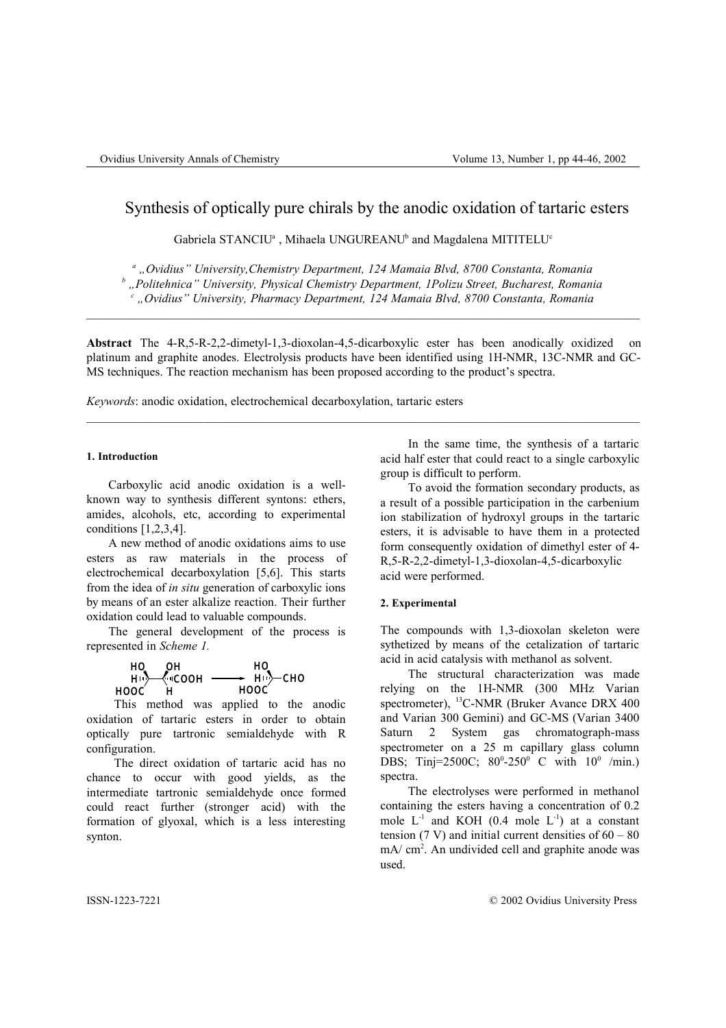# Synthesis of optically pure chirals by the anodic oxidation of tartaric esters

Gabriela STANCIU<sup>a</sup>, Mihaela UNGUREANU<sup>b</sup> and Magdalena MITITELU<sup>e</sup>

*<sup>a</sup> "Ovidius" University,Chemistry Department, 124 Mamaia Blvd, 8700 Constanta, Romania*

*<sup>b</sup> "Politehnica" University, Physical Chemistry Department, 1Polizu Street, Bucharest, Romania*

*<sup>c</sup> "Ovidius" University, Pharmacy Department, 124 Mamaia Blvd, 8700 Constanta, Romania*

**Abstract** The 4-R,5-R-2,2-dimetyl-1,3-dioxolan-4,5-dicarboxylic ester has been anodically oxidized on platinum and graphite anodes. Electrolysis products have been identified using 1H-NMR, 13C-NMR and GC-MS techniques. The reaction mechanism has been proposed according to the product's spectra.

 $\mathcal{L}_\mathcal{L} = \{ \mathcal{L}_\mathcal{L} = \{ \mathcal{L}_\mathcal{L} = \{ \mathcal{L}_\mathcal{L} = \{ \mathcal{L}_\mathcal{L} = \{ \mathcal{L}_\mathcal{L} = \{ \mathcal{L}_\mathcal{L} = \{ \mathcal{L}_\mathcal{L} = \{ \mathcal{L}_\mathcal{L} = \{ \mathcal{L}_\mathcal{L} = \{ \mathcal{L}_\mathcal{L} = \{ \mathcal{L}_\mathcal{L} = \{ \mathcal{L}_\mathcal{L} = \{ \mathcal{L}_\mathcal{L} = \{ \mathcal{L}_\mathcal{$ 

*Keywords*: anodic oxidation, electrochemical decarboxylation, tartaric esters

## **1. Introduction**

Carboxylic acid anodic oxidation is a wellknown way to synthesis different syntons: ethers, amides, alcohols, etc, according to experimental conditions [1,2,3,4].

A new method of anodic oxidations aims to use esters as raw materials in the process of electrochemical decarboxylation [5,6]. This starts from the idea of *in situ* generation of carboxylic ions by means of an ester alkalize reaction. Their further oxidation could lead to valuable compounds.

The general development of the process is represented in *Scheme 1.*

| н٥               |
|------------------|
| $-$ H $\sim$ CHO |
|                  |
|                  |

This method was applied to the anodic oxidation of tartaric esters in order to obtain optically pure tartronic semialdehyde with R configuration.

The direct oxidation of tartaric acid has no chance to occur with good yields, as the intermediate tartronic semialdehyde once formed could react further (stronger acid) with the formation of glyoxal, which is a less interesting synton.

In the same time, the synthesis of a tartaric acid half ester that could react to a single carboxylic group is difficult to perform.

To avoid the formation secondary products, as a result of a possible participation in the carbenium ion stabilization of hydroxyl groups in the tartaric esters, it is advisable to have them in a protected form consequently oxidation of dimethyl ester of 4- R,5-R-2,2-dimetyl-1,3-dioxolan-4,5-dicarboxylic acid were performed.

## **2. Experimental**

The compounds with 1,3-dioxolan skeleton were sythetized by means of the cetalization of tartaric acid in acid catalysis with methanol as solvent.

The structural characterization was made relying on the 1H-NMR (300 MHz Varian spectrometer), <sup>13</sup>C-NMR (Bruker Avance DRX 400 and Varian 300 Gemini) and GC-MS (Varian 3400 Saturn 2 System gas chromatograph-mass spectrometer on a 25 m capillary glass column DBS; Tinj=2500C;  $80^{\circ}$ -250° C with  $10^{\circ}$  /min.) spectra.

The electrolyses were performed in methanol containing the esters having a concentration of 0.2 mole  $L^{-1}$  and KOH (0.4 mole  $L^{-1}$ ) at a constant tension (7 V) and initial current densities of  $60 - 80$ mA/ cm 2 . An undivided cell and graphite anode was used.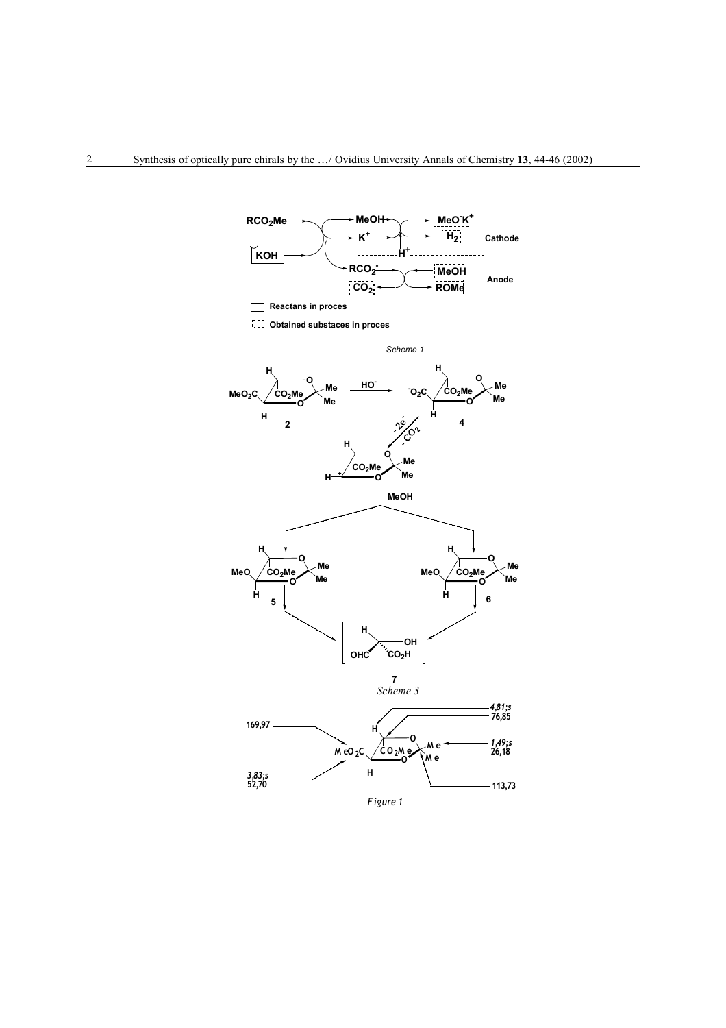